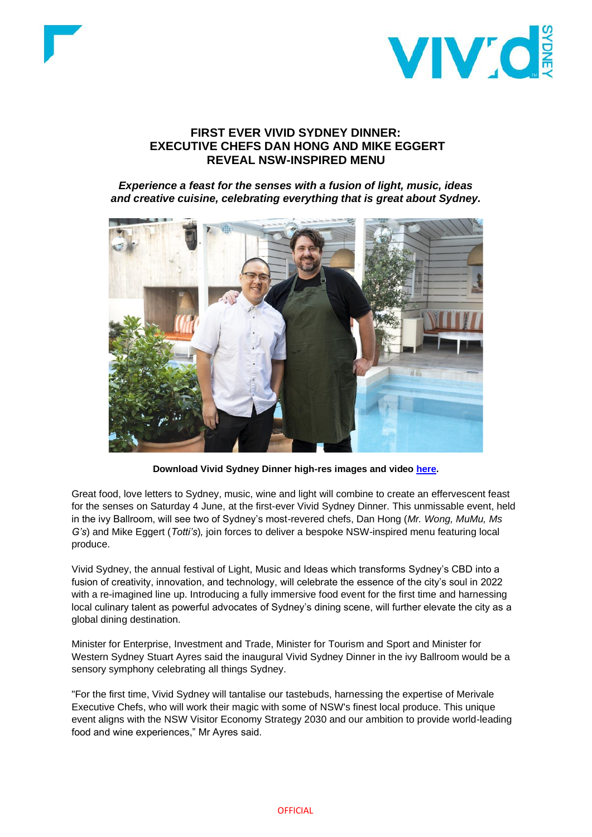



# **FIRST EVER VIVID SYDNEY DINNER: EXECUTIVE CHEFS DAN HONG AND MIKE EGGERT REVEAL NSW-INSPIRED MENU**

*Experience a feast for the senses with a fusion of light, music, ideas and creative cuisine, celebrating everything that is great about Sydney.*



**Download Vivid Sydney Dinner high-res images and video [here.](https://drive.google.com/drive/folders/1dvruHuzVGAPz33TYPtDv_b16Yk-aabnZ)** 

Great food, love letters to Sydney, music, wine and light will combine to create an effervescent feast for the senses on Saturday 4 June, at the first-ever Vivid Sydney Dinner. This unmissable event, held in the ivy Ballroom, will see two of Sydney's most-revered chefs, Dan Hong (*Mr. Wong, MuMu, Ms G's*) and Mike Eggert (*Totti's*)*,* join forces to deliver a bespoke NSW-inspired menu featuring local produce.

Vivid Sydney, the annual festival of Light, Music and Ideas which transforms Sydney's CBD into a fusion of creativity, innovation, and technology, will celebrate the essence of the city's soul in 2022 with a re-imagined line up. Introducing a fully immersive food event for the first time and harnessing local culinary talent as powerful advocates of Sydney's dining scene, will further elevate the city as a global dining destination.

Minister for Enterprise, Investment and Trade, Minister for Tourism and Sport and Minister for Western Sydney Stuart Ayres said the inaugural Vivid Sydney Dinner in the ivy Ballroom would be a sensory symphony celebrating all things Sydney.

"For the first time, Vivid Sydney will tantalise our tastebuds, harnessing the expertise of Merivale Executive Chefs, who will work their magic with some of NSW's finest local produce. This unique event aligns with the NSW Visitor Economy Strategy 2030 and our ambition to provide world-leading food and wine experiences," Mr Ayres said.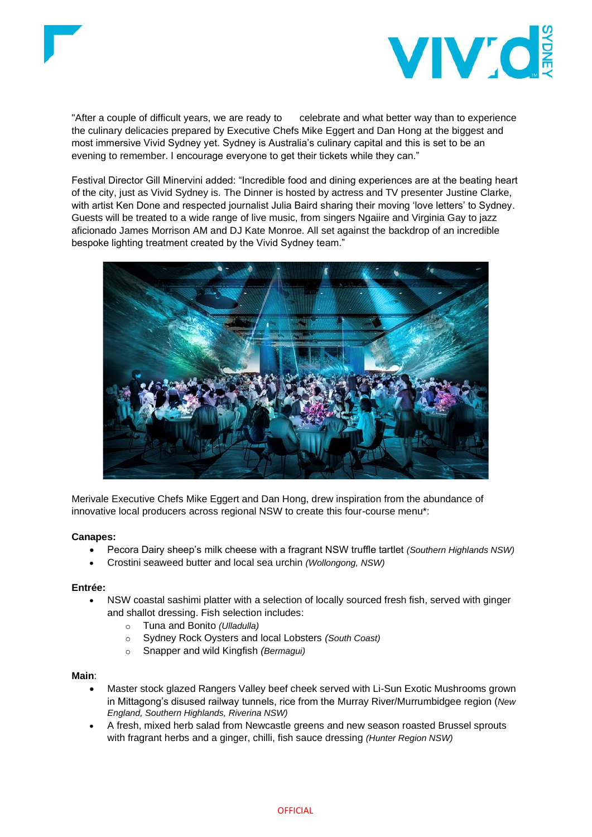



"After a couple of difficult years, we are ready to celebrate and what better way than to experience the culinary delicacies prepared by Executive Chefs Mike Eggert and Dan Hong at the biggest and most immersive Vivid Sydney yet. Sydney is Australia's culinary capital and this is set to be an evening to remember. I encourage everyone to get their tickets while they can."

Festival Director Gill Minervini added: "Incredible food and dining experiences are at the beating heart of the city, just as Vivid Sydney is. The Dinner is hosted by actress and TV presenter Justine Clarke, with artist Ken Done and respected journalist Julia Baird sharing their moving 'love letters' to Sydney. Guests will be treated to a wide range of live music, from singers Ngaiire and Virginia Gay to jazz aficionado James Morrison AM and DJ Kate Monroe. All set against the backdrop of an incredible bespoke lighting treatment created by the Vivid Sydney team."



Merivale Executive Chefs Mike Eggert and Dan Hong, drew inspiration from the abundance of innovative local producers across regional NSW to create this four-course menu\*:

# **Canapes:**

- Pecora Dairy sheep's milk cheese with a fragrant NSW truffle tartlet *(Southern Highlands NSW)*
- Crostini seaweed butter and local sea urchin *(Wollongong, NSW)*

# **Entrée:**

- NSW coastal sashimi platter with a selection of locally sourced fresh fish, served with ginger and shallot dressing. Fish selection includes:
	- o Tuna and Bonito *(Ulladulla)*
	- o Sydney Rock Oysters and local Lobsters *(South Coast)*
	- o Snapper and wild Kingfish *(Bermagui)*

# **Main**:

- Master stock glazed Rangers Valley beef cheek served with Li-Sun Exotic Mushrooms grown in Mittagong's disused railway tunnels, rice from the Murray River/Murrumbidgee region (*New England, Southern Highlands, Riverina NSW)*
- A fresh, mixed herb salad from Newcastle greens *a*nd new season roasted Brussel sprouts with fragrant herbs and a ginger, chilli, fish sauce dressing *(Hunter Region NSW)*